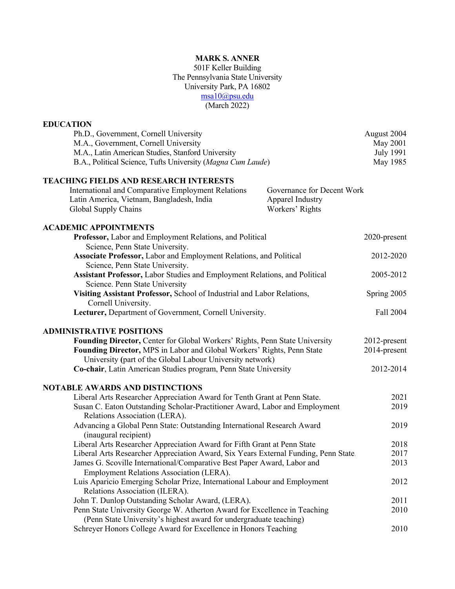### **MARK S. ANNER**

501F Keller Building The Pennsylvania State University University Park, PA 16802 msa10@psu.edu (March 2022)

#### **EDUCATION** Ph.D., Government, Cornell University August 2004 M.A., Government, Cornell University May 2001 M.A., Latin American Studies, Stanford University July 1991 B.A., Political Science, Tufts University (*Magna Cum Laude*) May 1985 **TEACHING FIELDS AND RESEARCH INTERESTS** International and Comparative Employment Relations Governance for Decent Work Latin America, Vietnam, Bangladesh, India Apparel Industry Global Supply Chains Workers' Rights **ACADEMIC APPOINTMENTS Professor,** Labor and Employment Relations, and Political Science, Penn State University. **Associate Professor,** Labor and Employment Relations, and Political Science, Penn State University. **Assistant Professor,** Labor Studies and Employment Relations, and Political Science. Penn State University 2020-present 2012-2020 2005-2012 **Visiting Assistant Professor,** School of Industrial and Labor Relations, Cornell University. Spring 2005 **Lecturer, Department of Government, Cornell University.** Fall 2004 **ADMINISTRATIVE POSITIONS Founding Director,** Center for Global Workers' Rights, Penn State University **Founding Director,** MPS in Labor and Global Workers' Rights, Penn State University **(**part of the Global Labour University network) **Co-chair**, Latin American Studies program, Penn State University 2012-present 2014-present 2012-2014 **NOTABLE AWARDS AND DISTINCTIONS** Liberal Arts Researcher Appreciation Award for Tenth Grant at Penn State. Susan C. Eaton Outstanding Scholar-Practitioner Award, Labor and Employment Relations Association (LERA). Advancing a Global Penn State: Outstanding International Research Award (inaugural recipient) Liberal Arts Researcher Appreciation Award for Fifth Grant at Penn State Liberal Arts Researcher Appreciation Award, Six Years External Funding, Penn State. James G. Scoville International/Comparative Best Paper Award, Labor and Employment Relations Association (LERA). Luis Aparicio Emerging Scholar Prize, International Labour and Employment Relations Association (ILERA). John T. Dunlop Outstanding Scholar Award, (LERA). Penn State University George W. Atherton Award for Excellence in Teaching (Penn State University's highest award for undergraduate teaching) Schreyer Honors College Award for Excellence in Honors Teaching 2021 2019 2019 2018 2017 2013 2012 2011 2010 2010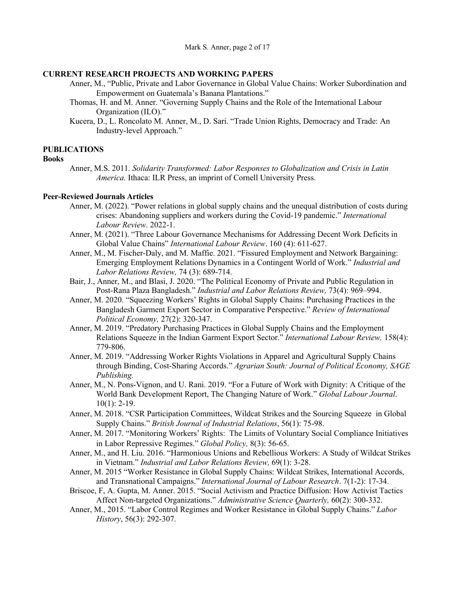### **CURRENT RESEARCH PROJECTS AND WORKING PAPERS**

- Anner, M., "Public, Private and Labor Governance in Global Value Chains: Worker Subordination and Empowerment on Guatemala's Banana Plantations."
- Thomas, H. and M. Anner. "Governing Supply Chains and the Role of the International Labour Organization (ILO)."
- Kucera, D., L. Roncolato M. Anner, M., D. Sari. "Trade Union Rights, Democracy and Trade: An Industry-level Approach."

#### **PUBLICATIONS**

#### **Books**

Anner, M.S. 2011*. Solidarity Transformed: Labor Responses to Globalization and Crisis in Latin America.* Ithaca: ILR Press, an imprint of Cornell University Press.

#### **Peer-Reviewed Journals Articles**

- Anner, M. (2022). "Power relations in global supply chains and the unequal distribution of costs during crises: Abandoning suppliers and workers during the Covid-19 pandemic." *International Labour Review*. 2022-1.
- Anner, M. (2021). "Three Labour Governance Mechanisms for Addressing Decent Work Deficits in Global Value Chains" *International Labour Review*. 160 (4): 611-627.
- Anner, M., M. Fischer-Daly, and M. Maffie. 2021. "Fissured Employment and Network Bargaining: Emerging Employment Relations Dynamics in a Contingent World of Work." *Industrial and Labor Relations Review,* 74 (3): 689-714.
- Bair, J., Anner, M., and Blasi, J. 2020. "The Political Economy of Private and Public Regulation in Post-Rana Plaza Bangladesh." *Industrial and Labor Relations Review,* 73(4): 969–994.
- Anner, M. 2020. "Squeezing Workers' Rights in Global Supply Chains: Purchasing Practices in the Bangladesh Garment Export Sector in Comparative Perspective." *Review of International Political Economy,* 27(2): 320-347.
- Anner, M. 2019. "Predatory Purchasing Practices in Global Supply Chains and the Employment Relations Squeeze in the Indian Garment Export Sector." *International Labour Review,* 158(4): 779-806.
- Anner, M. 2019. "Addressing Worker Rights Violations in Apparel and Agricultural Supply Chains through Binding, Cost-Sharing Accords." *Agrarian South: Journal of Political Economy, SAGE Publishing.*
- Anner, M., N. Pons-Vignon, and U. Rani. 2019. "For a Future of Work with Dignity: A Critique of the World Bank Development Report, The Changing Nature of Work." *Global Labour Journal*.  $10(1)$ : 2-19.
- Anner, M. 2018. "CSR Participation Committees, Wildcat Strikes and the Sourcing Squeeze in Global Supply Chains." *British Journal of Industrial Relations*, 56(1): 75-98.
- Anner, M. 2017. "Monitoring Workers' Rights: The Limits of Voluntary Social Compliance Initiatives in Labor Repressive Regimes." *Global Policy,* 8(3): 56-65.
- Anner, M., and H. Liu. 2016. "Harmonious Unions and Rebellious Workers: A Study of Wildcat Strikes in Vietnam." *Industrial and Labor Relations Review,* 69(1): 3-28.
- Anner, M. 2015 "Worker Resistance in Global Supply Chains: Wildcat Strikes, International Accords, and Transnational Campaigns." *International Journal of Labour Research*. 7(1-2): 17-34.
- Briscoe, F, A. Gupta, M. Anner. 2015. "Social Activism and Practice Diffusion: How Activist Tactics Affect Non-targeted Organizations." *Administrative Science Quarterly,* 60(2): 300-332.
- Anner, M., 2015. "Labor Control Regimes and Worker Resistance in Global Supply Chains." *Labor History*, 56(3): 292-307.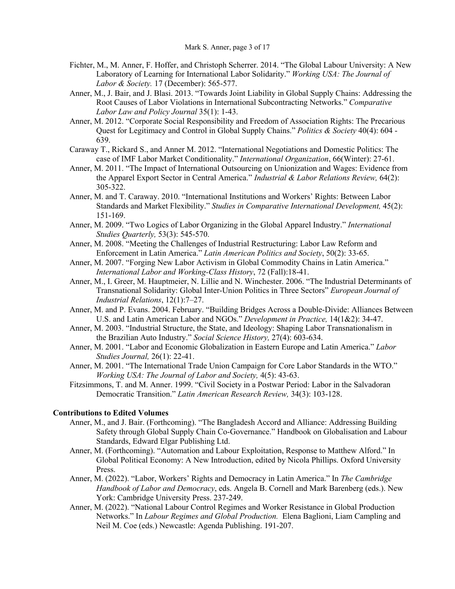- Fichter, M., M. Anner, F. Hoffer, and Christoph Scherrer. 2014. "The Global Labour University: A New Laboratory of Learning for International Labor Solidarity." *Working USA: The Journal of Labor & Society.* 17 (December): 565-577.
- Anner, M., J. Bair, and J. Blasi. 2013. "Towards Joint Liability in Global Supply Chains: Addressing the Root Causes of Labor Violations in International Subcontracting Networks." *Comparative Labor Law and Policy Journal* 35(1): 1-43.
- Anner, M. 2012. "Corporate Social Responsibility and Freedom of Association Rights: The Precarious Quest for Legitimacy and Control in Global Supply Chains." *Politics & Society* 40(4): 604 - 639.
- Caraway T., Rickard S., and Anner M. 2012. "International Negotiations and Domestic Politics: The case of IMF Labor Market Conditionality." *International Organization*, 66(Winter): 27-61.
- Anner, M. 2011. "The Impact of International Outsourcing on Unionization and Wages: Evidence from the Apparel Export Sector in Central America." *Industrial & Labor Relations Review,* 64(2): 305-322.
- Anner, M. and T. Caraway. 2010. "International Institutions and Workers' Rights: Between Labor Standards and Market Flexibility." *Studies in Comparative International Development,* 45(2): 151-169.
- Anner, M. 2009. "Two Logics of Labor Organizing in the Global Apparel Industry." *International Studies Quarterly,* 53(3): 545-570.
- Anner, M. 2008. "Meeting the Challenges of Industrial Restructuring: Labor Law Reform and Enforcement in Latin America." *Latin American Politics and Society*, 50(2): 33-65.
- Anner, M. 2007. "Forging New Labor Activism in Global Commodity Chains in Latin America." *International Labor and Working-Class History*, 72 (Fall):18-41.
- Anner, M., I. Greer, M. Hauptmeier, N. Lillie and N. Winchester. 2006. "The Industrial Determinants of Transnational Solidarity: Global Inter-Union Politics in Three Sectors" *European Journal of Industrial Relations*, 12(1):7–27.
- Anner, M. and P. Evans. 2004. February. "Building Bridges Across a Double-Divide: Alliances Between U.S. and Latin American Labor and NGOs." *Development in Practice,* 14(1&2): 34-47.
- Anner, M. 2003. "Industrial Structure, the State, and Ideology: Shaping Labor Transnationalism in the Brazilian Auto Industry." *Social Science History,* 27(4): 603-634.
- Anner, M. 2001. "Labor and Economic Globalization in Eastern Europe and Latin America." *Labor Studies Journal,* 26(1): 22-41.
- Anner, M. 2001. "The International Trade Union Campaign for Core Labor Standards in the WTO." *Working USA: The Journal of Labor and Society,* 4(5): 43-63.
- Fitzsimmons, T. and M. Anner. 1999. "Civil Society in a Postwar Period: Labor in the Salvadoran Democratic Transition." *Latin American Research Review,* 34(3): 103-128.

## **Contributions to Edited Volumes**

- Anner, M., and J. Bair. (Forthcoming). "The Bangladesh Accord and Alliance: Addressing Building Safety through Global Supply Chain Co-Governance." Handbook on Globalisation and Labour Standards, Edward Elgar Publishing Ltd.
- Anner, M. (Forthcoming). "Automation and Labour Exploitation, Response to Matthew Alford." In Global Political Economy: A New Introduction, edited by Nicola Phillips. Oxford University Press.
- Anner, M. (2022). "Labor, Workers' Rights and Democracy in Latin America." In *The Cambridge Handbook of Labor and Democracy*, eds. Angela B. Cornell and Mark Barenberg (eds.). New York: Cambridge University Press. 237-249.
- Anner, M. (2022). "National Labour Control Regimes and Worker Resistance in Global Production Networks." In *Labour Regimes and Global Production.* Elena Baglioni, Liam Campling and Neil M. Coe (eds.) Newcastle: Agenda Publishing. 191-207.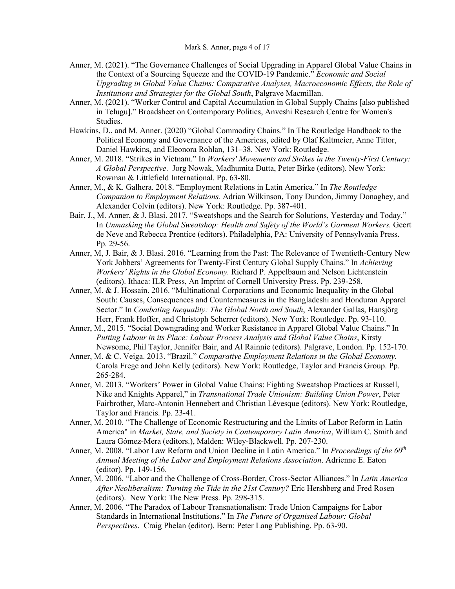- Anner, M. (2021). "The Governance Challenges of Social Upgrading in Apparel Global Value Chains in the Context of a Sourcing Squeeze and the COVID-19 Pandemic." *Economic and Social Upgrading in Global Value Chains: Comparative Analyses, Macroeconomic Effects, the Role of Institutions and Strategies for the Global South*, Palgrave Macmillan.
- Anner, M. (2021). "Worker Control and Capital Accumulation in Global Supply Chains [also published in Telugu]." Broadsheet on Contemporary Politics, Anveshi Research Centre for Women's Studies.
- Hawkins, D., and M. Anner. (2020) "Global Commodity Chains." In The Routledge Handbook to the Political Economy and Governance of the Americas, edited by Olaf Kaltmeier, Anne Tittor, Daniel Hawkins, and Eleonora Rohlan, 131–38. New York: Routledge.
- Anner, M. 2018. "Strikes in Vietnam." In *Workers' Movements and Strikes in the Twenty-First Century: A Global Perspective*. Jorg Nowak, Madhumita Dutta, Peter Birke (editors). New York: Rowman & Littlefield International. Pp. 63-80.
- Anner, M., & K. Galhera. 2018. "Employment Relations in Latin America." In *The Routledge Companion to Employment Relations.* Adrian Wilkinson, Tony Dundon, Jimmy Donaghey, and Alexander Colvin (editors). New York: Routledge. Pp. 387-401.
- Bair, J., M. Anner, & J. Blasi. 2017. "Sweatshops and the Search for Solutions, Yesterday and Today." In *Unmasking the Global Sweatshop: Health and Safety of the World's Garment Workers. Geert* de Neve and Rebecca Prentice (editors). Philadelphia, PA: University of Pennsylvania Press. Pp. 29-56.
- Anner, M, J. Bair, & J. Blasi. 2016. "Learning from the Past: The Relevance of Twentieth-Century New York Jobbers' Agreements for Twenty-First Century Global Supply Chains." In *Achieving Workers' Rights in the Global Economy.* Richard P. Appelbaum and Nelson Lichtenstein (editors). Ithaca: ILR Press, An Imprint of Cornell University Press. Pp. 239-258.
- Anner, M. & J. Hossain. 2016. "Multinational Corporations and Economic Inequality in the Global South: Causes, Consequences and Countermeasures in the Bangladeshi and Honduran Apparel Sector." In *Combating Inequality: The Global North and South*, Alexander Gallas, Hansjörg Herr, Frank Hoffer, and Christoph Scherrer (editors). New York: Routledge. Pp. 93-110.
- Anner, M., 2015. "Social Downgrading and Worker Resistance in Apparel Global Value Chains." In *Putting Labour in its Place: Labour Process Analysis and Global Value Chains*, Kirsty Newsome, Phil Taylor, Jennifer Bair, and Al Rainnie (editors). Palgrave, London. Pp. 152-170.
- Anner, M. & C. Veiga. 2013. "Brazil." *Comparative Employment Relations in the Global Economy.*  Carola Frege and John Kelly (editors). New York: Routledge, Taylor and Francis Group. Pp. 265-284.
- Anner, M. 2013. "Workers' Power in Global Value Chains: Fighting Sweatshop Practices at Russell, Nike and Knights Apparel," in *Transnational Trade Unionism: Building Union Power*, Peter Fairbrother, Marc-Antonin Hennebert and Christian Lévesque (editors). New York: Routledge, Taylor and Francis. Pp. 23-41.
- Anner, M. 2010. "The Challenge of Economic Restructuring and the Limits of Labor Reform in Latin America" in *Market, State, and Society in Contemporary Latin America*, William C. Smith and Laura Gómez-Mera (editors.), Malden: Wiley-Blackwell. Pp. 207-230.
- Anner, M. 2008. "Labor Law Reform and Union Decline in Latin America." In *Proceedings of the 60<sup>th</sup> Annual Meeting of the Labor and Employment Relations Association*. Adrienne E. Eaton (editor). Pp. 149-156.
- Anner, M. 2006. "Labor and the Challenge of Cross-Border, Cross-Sector Alliances." In *Latin America After Neoliberalism: Turning the Tide in the 21st Century?* Eric Hershberg and Fred Rosen (editors). New York: The New Press. Pp. 298-315.
- Anner, M. 2006. "The Paradox of Labour Transnationalism: Trade Union Campaigns for Labor Standards in International Institutions." In *The Future of Organised Labour: Global Perspectives*. Craig Phelan (editor). Bern: Peter Lang Publishing. Pp. 63-90.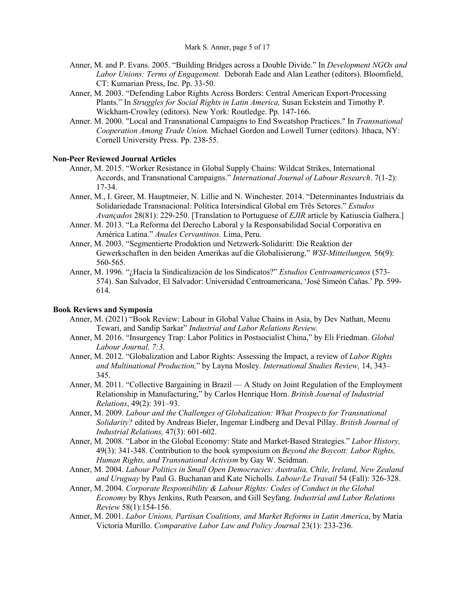- Anner, M. and P. Evans. 2005. "Building Bridges across a Double Divide." In *Development NGOs and Labor Unions: Terms of Engagement.* Deborah Eade and Alan Leather (editors). Bloomfield, CT: Kumarian Press, Inc. Pp. 33-50.
- Anner, M. 2003. "Defending Labor Rights Across Borders: Central American Export-Processing Plants." In *Struggles for Social Rights in Latin America,* Susan Eckstein and Timothy P. Wickham-Crowley (editors). New York: Routledge. Pp. 147-166.
- Anner. M. 2000. "Local and Transnational Campaigns to End Sweatshop Practices." In *Transnational Cooperation Among Trade Union.* Michael Gordon and Lowell Turner (editors). Ithaca, NY: Cornell University Press. Pp. 238-55.

#### **Non-Peer Reviewed Journal Articles**

- Anner, M. 2015. "Worker Resistance in Global Supply Chains: Wildcat Strikes, International Accords, and Transnational Campaigns." *International Journal of Labour Research*. 7(1-2): 17-34.
- Anner, M., I. Greer, M. Hauptmeier, N. Lillie and N. Winchester. 2014. "Determinantes Industriais da Solidariedade Transnacional: Política Intersindical Global em Três Setores." *Estudos Avançados* 28(81): 229-250. [Translation to Portuguese of *EJIR* article by Katiuscia Galhera.]
- Anner. M. 2013. "La Reforma del Derecho Laboral y la Responsabilidad Social Corporativa en América Latina." *Anales Cervantinos.* Lima, Peru.
- Anner, M. 2003. "Segmentierte Produktion und Netzwerk-Solidaritt: Die Reaktion der Gewerkschaften in den beiden Amerikas auf die Globalisierung." *WSI-Mitteilungen,* 56(9): 560-565.
- Anner, M. 1996. "¿Hacía la Sindicalización de los Sindicatos?" *Estudios Centroamericanos* (573- 574). San Salvador, El Salvador: Universidad Centroamericana, 'José Simeón Cañas.' Pp. 599- 614.

#### **Book Reviews and Symposia**

- Anner, M. (2021) "Book Review: Labour in Global Value Chains in Asia, by Dev Nathan, Meenu Tewari, and Sandip Sarkar" *Industrial and Labor Relations Review.*
- Anner, M. 2016. "Insurgency Trap: Labor Politics in Postsocialist China," by Eli Friedman. *Global Labour Journal, 7:3.*
- Anner, M. 2012. "Globalization and Labor Rights: Assessing the Impact, a review of *Labor Rights and Multinational Production,*" by Layna Mosley. *International Studies Review,* 14, 343– 345.
- Anner, M. 2011. "Collective Bargaining in Brazil A Study on Joint Regulation of the Employment Relationship in Manufacturing," by Carlos Henrique Horn. *British Journal of Industrial Relations*, 49(2): 391–93.
- Anner, M. 2009. *Labour and the Challenges of Globalization: What Prospects for Transnational Solidarity?* edited by Andreas Bieler, Ingemar Lindberg and Deval Pillay. *British Journal of Industrial Relations,* 47(3): 601-602.
- Anner, M. 2008. "Labor in the Global Economy: State and Market-Based Strategies." *Labor History,*  49(3): 341-348. Contribution to the book symposium on *Beyond the Boycott: Labor Rights, Human Rights, and Transnational Activism* by Gay W. Seidman.
- Anner, M. 2004. *Labour Politics in Small Open Democracies: Australia, Chile, Ireland, New Zealand and Uruguay* by Paul G. Buchanan and Kate Nicholls. *Labour/Le Travail* 54 (Fall): 326-328.
- Anner, M. 2004. *Corporate Responsibility & Labour Rights: Codes of Conduct in the Global Economy* by Rhys Jenkins, Ruth Pearson, and Gill Seyfang. *Industrial and Labor Relations Review* 58(1):154-156.
- Anner, M. 2001. *Labor Unions, Partisan Coalitions, and Market Reforms in Latin America*, by Maria Victoria Murillo. *Comparative Labor Law and Policy Journal* 23(1): 233-236.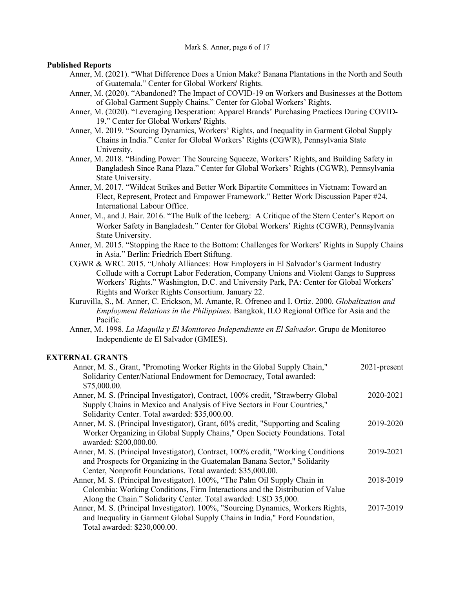Mark S. Anner, page 6 of 17

#### **Published Reports**

- Anner, M. (2021). "What Difference Does a Union Make? Banana Plantations in the North and South of Guatemala." Center for Global Workers' Rights.
- Anner, M. (2020). "Abandoned? The Impact of COVID-19 on Workers and Businesses at the Bottom of Global Garment Supply Chains." Center for Global Workers' Rights.
- Anner, M. (2020). "Leveraging Desperation: Apparel Brands' Purchasing Practices During COVID-19." Center for Global Workers' Rights.
- Anner, M. 2019. "Sourcing Dynamics, Workers' Rights, and Inequality in Garment Global Supply Chains in India." Center for Global Workers' Rights (CGWR), Pennsylvania State University.
- Anner, M. 2018. "Binding Power: The Sourcing Squeeze, Workers' Rights, and Building Safety in Bangladesh Since Rana Plaza." Center for Global Workers' Rights (CGWR), Pennsylvania State University.
- Anner, M. 2017. "Wildcat Strikes and Better Work Bipartite Committees in Vietnam: Toward an Elect, Represent, Protect and Empower Framework." Better Work Discussion Paper #24. International Labour Office.
- Anner, M., and J. Bair. 2016. "The Bulk of the Iceberg: A Critique of the Stern Center's Report on Worker Safety in Bangladesh." Center for Global Workers' Rights (CGWR), Pennsylvania State University.
- Anner, M. 2015. "Stopping the Race to the Bottom: Challenges for Workers' Rights in Supply Chains in Asia." Berlin: Friedrich Ebert Stiftung.
- CGWR & WRC. 2015. "Unholy Alliances: How Employers in El Salvador's Garment Industry Collude with a Corrupt Labor Federation, Company Unions and Violent Gangs to Suppress Workers' Rights." Washington, D.C. and University Park, PA: Center for Global Workers' Rights and Worker Rights Consortium. January 22.
- Kuruvilla, S., M. Anner, C. Erickson, M. Amante, R. Ofreneo and I. Ortiz. 2000. *Globalization and Employment Relations in the Philippines*. Bangkok, ILO Regional Office for Asia and the Pacific.
- Anner, M. 1998. *La Maquila y El Monitoreo Independiente en El Salvador*. Grupo de Monitoreo Independiente de El Salvador (GMIES).

#### **EXTERNAL GRANTS**

| Anner, M. S., Grant, "Promoting Worker Rights in the Global Supply Chain,"<br>Solidarity Center/National Endowment for Democracy, Total awarded: | $2021$ -present |
|--------------------------------------------------------------------------------------------------------------------------------------------------|-----------------|
| \$75,000.00.                                                                                                                                     |                 |
| Anner, M. S. (Principal Investigator), Contract, 100% credit, "Strawberry Global                                                                 | 2020-2021       |
| Supply Chains in Mexico and Analysis of Five Sectors in Four Countries,"                                                                         |                 |
| Solidarity Center. Total awarded: \$35,000.00.                                                                                                   |                 |
| Anner, M. S. (Principal Investigator), Grant, 60% credit, "Supporting and Scaling                                                                | 2019-2020       |
| Worker Organizing in Global Supply Chains," Open Society Foundations. Total                                                                      |                 |
| awarded: \$200,000.00.                                                                                                                           |                 |
| Anner, M. S. (Principal Investigator), Contract, 100% credit, "Working Conditions                                                                | 2019-2021       |
| and Prospects for Organizing in the Guatemalan Banana Sector," Solidarity                                                                        |                 |
| Center, Nonprofit Foundations. Total awarded: \$35,000.00.                                                                                       |                 |
| Anner, M. S. (Principal Investigator). 100%, "The Palm Oil Supply Chain in                                                                       | 2018-2019       |
| Colombia: Working Conditions, Firm Interactions and the Distribution of Value                                                                    |                 |
| Along the Chain." Solidarity Center. Total awarded: USD 35,000.                                                                                  |                 |
| Anner, M. S. (Principal Investigator). 100%, "Sourcing Dynamics, Workers Rights,                                                                 | 2017-2019       |
| and Inequality in Garment Global Supply Chains in India," Ford Foundation,                                                                       |                 |
| Total awarded: \$230,000.00.                                                                                                                     |                 |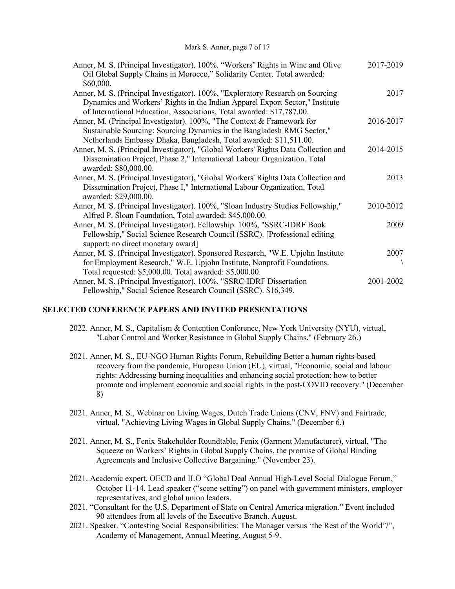| Anner, M. S. (Principal Investigator). 100%. "Workers' Rights in Wine and Olive    | 2017-2019 |
|------------------------------------------------------------------------------------|-----------|
| Oil Global Supply Chains in Morocco," Solidarity Center. Total awarded:            |           |
| \$60,000.                                                                          |           |
| Anner, M. S. (Principal Investigator). 100%, "Exploratory Research on Sourcing     | 2017      |
| Dynamics and Workers' Rights in the Indian Apparel Export Sector," Institute       |           |
| of International Education, Associations, Total awarded: \$17,787.00.              |           |
| Anner, M. (Principal Investigator). 100%, "The Context & Framework for             | 2016-2017 |
| Sustainable Sourcing: Sourcing Dynamics in the Bangladesh RMG Sector,"             |           |
| Netherlands Embassy Dhaka, Bangladesh, Total awarded: \$11,511.00.                 |           |
| Anner, M. S. (Principal Investigator), "Global Workers' Rights Data Collection and | 2014-2015 |
| Dissemination Project, Phase 2," International Labour Organization. Total          |           |
| awarded: \$80,000.00.                                                              |           |
| Anner, M. S. (Principal Investigator), "Global Workers' Rights Data Collection and | 2013      |
| Dissemination Project, Phase I," International Labour Organization, Total          |           |
| awarded: \$29,000.00.                                                              |           |
| Anner, M. S. (Principal Investigator). 100%, "Sloan Industry Studies Fellowship,"  | 2010-2012 |
| Alfred P. Sloan Foundation, Total awarded: \$45,000.00.                            |           |
| Anner, M. S. (Principal Investigator). Fellowship. 100%, "SSRC-IDRF Book           | 2009      |
| Fellowship," Social Science Research Council (SSRC). [Professional editing         |           |
| support; no direct monetary award]                                                 |           |
| Anner, M. S. (Principal Investigator). Sponsored Research, "W.E. Upjohn Institute  | 2007      |
| for Employment Research," W.E. Upjohn Institute, Nonprofit Foundations.            |           |
| Total requested: \$5,000.00. Total awarded: \$5,000.00.                            |           |
| Anner, M. S. (Principal Investigator). 100%. "SSRC-IDRF Dissertation               | 2001-2002 |
| Fellowship," Social Science Research Council (SSRC). \$16,349.                     |           |

#### **SELECTED CONFERENCE PAPERS AND INVITED PRESENTATIONS**

- 2022. Anner, M. S., Capitalism & Contention Conference, New York University (NYU), virtual, "Labor Control and Worker Resistance in Global Supply Chains." (February 26.)
- 2021. Anner, M. S., EU-NGO Human Rights Forum, Rebuilding Better a human rights-based recovery from the pandemic, European Union (EU), virtual, "Economic, social and labour rights: Addressing burning inequalities and enhancing social protection: how to better promote and implement economic and social rights in the post-COVID recovery." (December 8)
- 2021. Anner, M. S., Webinar on Living Wages, Dutch Trade Unions (CNV, FNV) and Fairtrade, virtual, "Achieving Living Wages in Global Supply Chains." (December 6.)
- 2021. Anner, M. S., Fenix Stakeholder Roundtable, Fenix (Garment Manufacturer), virtual, "The Squeeze on Workers' Rights in Global Supply Chains, the promise of Global Binding Agreements and Inclusive Collective Bargaining." (November 23).
- 2021. Academic expert. OECD and ILO "Global Deal Annual High-Level Social Dialogue Forum," October 11-14. Lead speaker ("scene setting") on panel with government ministers, employer representatives, and global union leaders.
- 2021. "Consultant for the U.S. Department of State on Central America migration." Event included 90 attendees from all levels of the Executive Branch. August.
- 2021. Speaker. "Contesting Social Responsibilities: The Manager versus 'the Rest of the World'?", Academy of Management, Annual Meeting, August 5-9.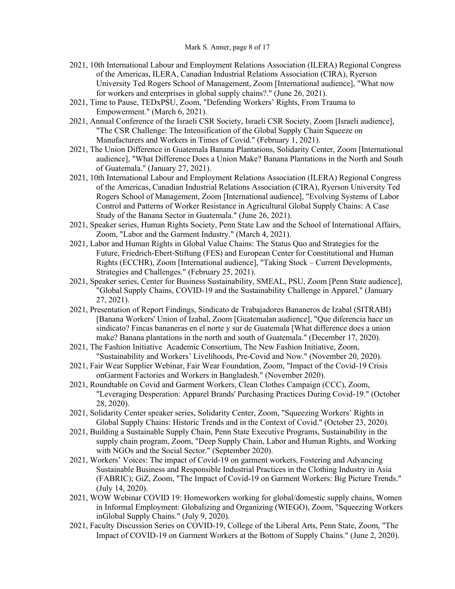- 2021, 10th International Labour and Employment Relations Association (ILERA) Regional Congress of the Americas, ILERA, Canadian Industrial Relations Association (CIRA), Ryerson University Ted Rogers School of Management, Zoom [International audience], "What now for workers and enterprises in global supply chains?." (June 26, 2021).
- 2021, Time to Pause, TEDxPSU, Zoom, "Defending Workers' Rights, From Trauma to Empowerment." (March 6, 2021).
- 2021, Annual Conference of the Israeli CSR Society, Israeli CSR Society, Zoom [Israeli audience], "The CSR Challenge: The Intensification of the Global Supply Chain Squeeze on Manufacturers and Workers in Times of Covid." (February 1, 2021).
- 2021, The Union Difference in Guatemala Banana Plantations, Solidarity Center, Zoom [International audience], "What Difference Does a Union Make? Banana Plantations in the North and South of Guatemala." (January 27, 2021).
- 2021, 10th International Labour and Employment Relations Association (ILERA) Regional Congress of the Americas, Canadian Industrial Relations Association (CIRA), Ryerson University Ted Rogers School of Management, Zoom [International audience], "Evolving Systems of Labor Control and Patterns of Worker Resistance in Agricultural Global Supply Chains: A Case Study of the Banana Sector in Guatemala." (June 26, 2021).
- 2021, Speaker series, Human Rights Society, Penn State Law and the School of International Affairs, Zoom, "Labor and the Garment Industry." (March 4, 2021).
- 2021, Labor and Human Rights in Global Value Chains: The Status Quo and Strategies for the Future, Friedrich-Ebert-Stiftung (FES) and European Center for Constitutional and Human Rights (ECCHR), Zoom [International audience], "Taking Stock – Current Developments, Strategies and Challenges." (February 25, 2021).
- 2021, Speaker series, Center for Business Sustainability, SMEAL, PSU, Zoom [Penn State audience], "Global Supply Chains, COVID-19 and the Sustainability Challenge in Apparel." (January 27, 2021).
- 2021, Presentation of Report Findings, Sindicato de Trabajadores Bananeros de Izabal (SITRABI) [Banana Workers' Union of Izabal, Zoom [Guatemalan audience], "Que diferencia hace un sindicato? Fincas bananeras en el norte y sur de Guatemala [What difference does a union make? Banana plantations in the north and south of Guatemala." (December 17, 2020).
- 2021, The Fashion Initiative Academic Consortium, The New Fashion Initiative, Zoom, "Sustainability and Workers' Livelihoods, Pre-Covid and Now." (November 20, 2020).
- 2021, Fair Wear Supplier Webinar, Fair Wear Foundation, Zoom, "Impact of the Covid-19 Crisis onGarment Factories and Workers in Bangladesh." (November 2020).
- 2021, Roundtable on Covid and Garment Workers, Clean Clothes Campaign (CCC), Zoom, "Leveraging Desperation: Apparel Brands' Purchasing Practices During Covid-19." (October 28, 2020).
- 2021, Solidarity Center speaker series, Solidarity Center, Zoom, "Squeezing Workers' Rights in Global Supply Chains: Historic Trends and in the Context of Covid." (October 23, 2020).
- 2021, Building a Sustainable Supply Chain, Penn State Executive Programs, Sustainability in the supply chain program, Zoom, "Deep Supply Chain, Labor and Human Rights, and Working with NGOs and the Social Sector." (September 2020).
- 2021, Workers' Voices: The impact of Covid-19 on garment workers, Fostering and Advancing Sustainable Business and Responsible Industrial Practices in the Clothing Industry in Asia (FABRIC); GiZ, Zoom, "The Impact of Covid-19 on Garment Workers: Big Picture Trends." (July 14, 2020).
- 2021, WOW Webinar COVID 19: Homeworkers working for global/domestic supply chains, Women in Informal Employment: Globalizing and Organizing (WIEGO), Zoom, "Squeezing Workers inGlobal Supply Chains." (July 9, 2020).
- 2021, Faculty Discussion Series on COVID-19, College of the Liberal Arts, Penn State, Zoom, "The Impact of COVID-19 on Garment Workers at the Bottom of Supply Chains." (June 2, 2020).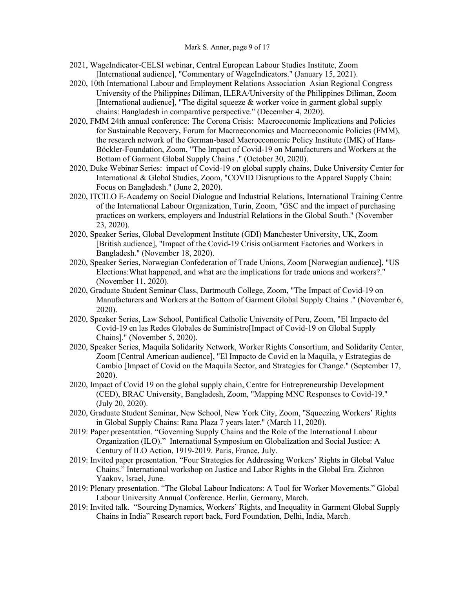- 2021, WageIndicator-CELSI webinar, Central European Labour Studies Institute, Zoom [International audience], "Commentary of WageIndicators." (January 15, 2021).
- 2020, 10th International Labour and Employment Relations Association Asian Regional Congress University of the Philippines Diliman, ILERA/University of the Philippines Diliman, Zoom [International audience], "The digital squeeze  $&$  worker voice in garment global supply chains: Bangladesh in comparative perspective." (December 4, 2020).
- 2020, FMM 24th annual conference: The Corona Crisis: Macroeconomic Implications and Policies for Sustainable Recovery, Forum for Macroeconomics and Macroeconomic Policies (FMM), the research network of the German-based Macroeconomic Policy Institute (IMK) of Hans-Böckler-Foundation, Zoom, "The Impact of Covid-19 on Manufacturers and Workers at the Bottom of Garment Global Supply Chains ." (October 30, 2020).
- 2020, Duke Webinar Series: impact of Covid-19 on global supply chains, Duke University Center for International & Global Studies, Zoom, "COVID Disruptions to the Apparel Supply Chain: Focus on Bangladesh." (June 2, 2020).
- 2020, ITCILO E-Academy on Social Dialogue and Industrial Relations, International Training Centre of the International Labour Organization, Turin, Zoom, "GSC and the impact of purchasing practices on workers, employers and Industrial Relations in the Global South." (November 23, 2020).
- 2020, Speaker Series, Global Development Institute (GDI) Manchester University, UK, Zoom [British audience], "Impact of the Covid-19 Crisis onGarment Factories and Workers in Bangladesh." (November 18, 2020).
- 2020, Speaker Series, Norwegian Confederation of Trade Unions, Zoom [Norwegian audience], "US Elections:What happened, and what are the implications for trade unions and workers?." (November 11, 2020).
- 2020, Graduate Student Seminar Class, Dartmouth College, Zoom, "The Impact of Covid-19 on Manufacturers and Workers at the Bottom of Garment Global Supply Chains ." (November 6, 2020).
- 2020, Speaker Series, Law School, Pontifical Catholic University of Peru, Zoom, "El Impacto del Covid-19 en las Redes Globales de Suministro[Impact of Covid-19 on Global Supply Chains]." (November 5, 2020).
- 2020, Speaker Series, Maquila Solidarity Network, Worker Rights Consortium, and Solidarity Center, Zoom [Central American audience], "El Impacto de Covid en la Maquila, y Estrategias de Cambio [Impact of Covid on the Maquila Sector, and Strategies for Change." (September 17, 2020).
- 2020, Impact of Covid 19 on the global supply chain, Centre for Entrepreneurship Development (CED), BRAC University, Bangladesh, Zoom, "Mapping MNC Responses to Covid-19." (July 20, 2020).
- 2020, Graduate Student Seminar, New School, New York City, Zoom, "Squeezing Workers' Rights in Global Supply Chains: Rana Plaza 7 years later." (March 11, 2020).
- 2019: Paper presentation. "Governing Supply Chains and the Role of the International Labour Organization (ILO)." International Symposium on Globalization and Social Justice: A Century of ILO Action, 1919-2019. Paris, France, July.
- 2019: Invited paper presentation. "Four Strategies for Addressing Workers' Rights in Global Value Chains." International workshop on Justice and Labor Rights in the Global Era. Zichron Yaakov, Israel, June.
- 2019: Plenary presentation. "The Global Labour Indicators: A Tool for Worker Movements." Global Labour University Annual Conference. Berlin, Germany, March.
- 2019: Invited talk. "Sourcing Dynamics, Workers' Rights, and Inequality in Garment Global Supply Chains in India" Research report back, Ford Foundation, Delhi, India, March.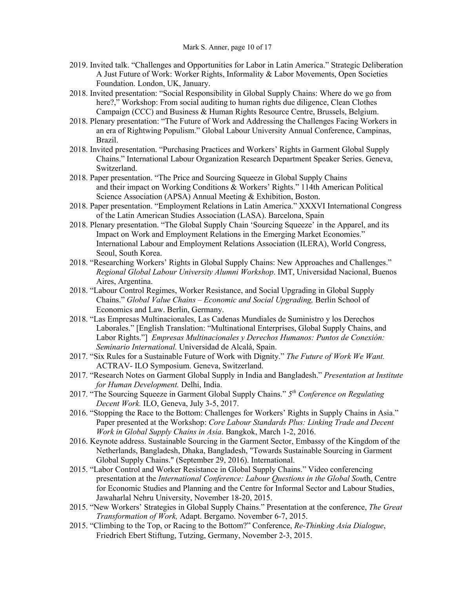#### Mark S. Anner, page 10 of 17

- 2019. Invited talk. "Challenges and Opportunities for Labor in Latin America." Strategic Deliberation A Just Future of Work: Worker Rights, Informality & Labor Movements, Open Societies Foundation. London, UK, January.
- 2018. Invited presentation: "Social Responsibility in Global Supply Chains: Where do we go from here?," Workshop: From social auditing to human rights due diligence, Clean Clothes Campaign (CCC) and Business & Human Rights Resource Centre, Brussels, Belgium.
- 2018. Plenary presentation: "The Future of Work and Addressing the Challenges Facing Workers in an era of Rightwing Populism." Global Labour University Annual Conference, Campinas, Brazil.
- 2018. Invited presentation. "Purchasing Practices and Workers' Rights in Garment Global Supply Chains." International Labour Organization Research Department Speaker Series. Geneva, Switzerland.
- 2018. Paper presentation. "The Price and Sourcing Squeeze in Global Supply Chains and their impact on Working Conditions & Workers' Rights." 114th American Political Science Association (APSA) Annual Meeting & Exhibition, Boston.
- 2018. Paper presentation. "Employment Relations in Latin America." XXXVI International Congress of the Latin American Studies Association (LASA). Barcelona, Spain
- 2018. Plenary presentation. "The Global Supply Chain 'Sourcing Squeeze' in the Apparel, and its Impact on Work and Employment Relations in the Emerging Market Economies." International Labour and Employment Relations Association (ILERA), World Congress, Seoul, South Korea.
- 2018. "Researching Workers' Rights in Global Supply Chains: New Approaches and Challenges." *Regional Global Labour University Alumni Workshop*. IMT, Universidad Nacional, Buenos Aires, Argentina.
- 2018. "Labour Control Regimes, Worker Resistance, and Social Upgrading in Global Supply Chains." *Global Value Chains – Economic and Social Upgrading,* Berlin School of Economics and Law. Berlin, Germany.
- 2018. "Las Empresas Multinacionales, Las Cadenas Mundiales de Suministro y los Derechos Laborales." [English Translation: "Multinational Enterprises, Global Supply Chains, and Labor Rights."] *Empresas Multinacionales y Derechos Humanos: Puntos de Conexión: Seminario International.* Universidad de Alcalá, Spain.
- 2017. "Six Rules for a Sustainable Future of Work with Dignity." *The Future of Work We Want.*  ACTRAV- ILO Symposium. Geneva, Switzerland.
- 2017. "Research Notes on Garment Global Supply in India and Bangladesh." *Presentation at Institute for Human Development.* Delhi, India.
- 2017. "The Sourcing Squeeze in Garment Global Supply Chains." *5th Conference on Regulating Decent Work.* ILO, Geneva, July 3-5, 2017.
- 2016. "Stopping the Race to the Bottom: Challenges for Workers' Rights in Supply Chains in Asia." Paper presented at the Workshop: *Core Labour Standards Plus: Linking Trade and Decent Work in Global Supply Chains in Asia*. Bangkok, March 1-2, 2016.
- 2016. Keynote address. Sustainable Sourcing in the Garment Sector, Embassy of the Kingdom of the Netherlands, Bangladesh, Dhaka, Bangladesh, "Towards Sustainable Sourcing in Garment Global Supply Chains." (September 29, 2016). International.
- 2015. "Labor Control and Worker Resistance in Global Supply Chains." Video conferencing presentation at the *International Conference: Labour Questions in the Global Sou*th, Centre for Economic Studies and Planning and the Centre for Informal Sector and Labour Studies, Jawaharlal Nehru University, November 18-20, 2015.
- 2015. "New Workers' Strategies in Global Supply Chains." Presentation at the conference, *The Great Transformation of Work,* Adapt. Bergamo. November 6-7, 2015.
- 2015. "Climbing to the Top, or Racing to the Bottom?" Conference, *Re-Thinking Asia Dialogue*, Friedrich Ebert Stiftung, Tutzing, Germany, November 2-3, 2015.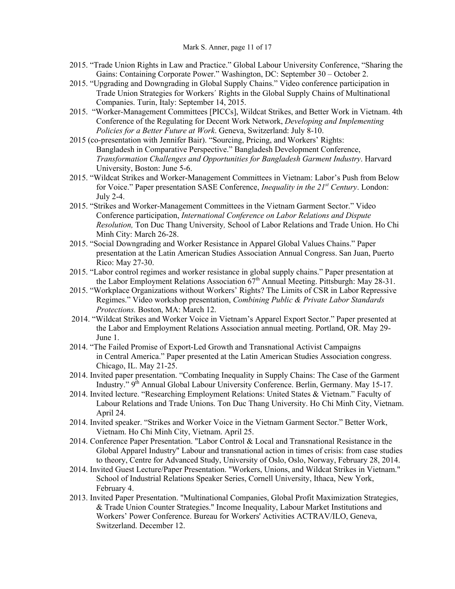- 2015. "Trade Union Rights in Law and Practice." Global Labour University Conference, "Sharing the Gains: Containing Corporate Power." Washington, DC: September 30 – October 2.
- 2015. "Upgrading and Downgrading in Global Supply Chains." Video conference participation in Trade Union Strategies for Workers´ Rights in the Global Supply Chains of Multinational Companies. Turin, Italy: September 14, 2015.
- 2015. "Worker-Management Committees [PICCs], Wildcat Strikes, and Better Work in Vietnam. 4th Conference of the Regulating for Decent Work Network, *Developing and Implementing Policies for a Better Future at Work*. Geneva, Switzerland: July 8-10.
- 2015 (co-presentation with Jennifer Bair). "Sourcing, Pricing, and Workers' Rights: Bangladesh in Comparative Perspective." Bangladesh Development Conference, *Transformation Challenges and Opportunities for Bangladesh Garment Industry*. Harvard University, Boston: June 5-6.
- 2015. "Wildcat Strikes and Worker-Management Committees in Vietnam: Labor's Push from Below for Voice." Paper presentation SASE Conference, *Inequality in the 21st Century*. London: July 2-4.
- 2015. "Strikes and Worker-Management Committees in the Vietnam Garment Sector." Video Conference participation, *International Conference on Labor Relations and Dispute Resolution,* Ton Duc Thang University*,* School of Labor Relations and Trade Union. Ho Chi Minh City: March 26-28.
- 2015. "Social Downgrading and Worker Resistance in Apparel Global Values Chains." Paper presentation at the Latin American Studies Association Annual Congress. San Juan, Puerto Rico: May 27-30.
- 2015. "Labor control regimes and worker resistance in global supply chains." Paper presentation at the Labor Employment Relations Association 67<sup>th</sup> Annual Meeting. Pittsburgh: May 28-31.
- 2015. "Workplace Organizations without Workers' Rights? The Limits of CSR in Labor Repressive Regimes." Video workshop presentation, *Combining Public & Private Labor Standards Protections.* Boston, MA: March 12.
- 2014. "Wildcat Strikes and Worker Voice in Vietnam's Apparel Export Sector." Paper presented at the Labor and Employment Relations Association annual meeting. Portland, OR. May 29- June 1.
- 2014. "The Failed Promise of Export-Led Growth and Transnational Activist Campaigns in Central America." Paper presented at the Latin American Studies Association congress. Chicago, IL. May 21-25.
- 2014. Invited paper presentation. "Combating Inequality in Supply Chains: The Case of the Garment Industry." 9<sup>th</sup> Annual Global Labour University Conference. Berlin, Germany. May 15-17.
- 2014. Invited lecture. "Researching Employment Relations: United States & Vietnam." Faculty of Labour Relations and Trade Unions. Ton Duc Thang University. Ho Chi Minh City, Vietnam. April 24.
- 2014. Invited speaker. "Strikes and Worker Voice in the Vietnam Garment Sector." Better Work, Vietnam. Ho Chi Minh City, Vietnam. April 25.
- 2014. Conference Paper Presentation. "Labor Control & Local and Transnational Resistance in the Global Apparel Industry" Labour and transnational action in times of crisis: from case studies to theory, Centre for Advanced Study, University of Oslo, Oslo, Norway, February 28, 2014.
- 2014. Invited Guest Lecture/Paper Presentation. "Workers, Unions, and Wildcat Strikes in Vietnam." School of Industrial Relations Speaker Series, Cornell University, Ithaca, New York, February 4.
- 2013. Invited Paper Presentation. "Multinational Companies, Global Profit Maximization Strategies, & Trade Union Counter Strategies." Income Inequality, Labour Market Institutions and Workers' Power Conference. Bureau for Workers' Activities ACTRAV/ILO, Geneva, Switzerland. December 12.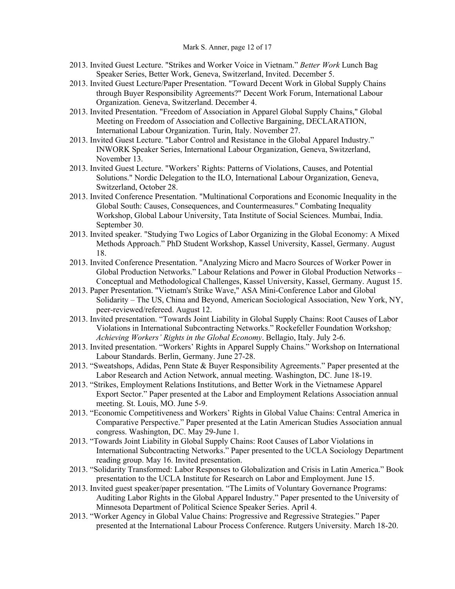- 2013. Invited Guest Lecture. "Strikes and Worker Voice in Vietnam." *Better Work* Lunch Bag Speaker Series, Better Work, Geneva, Switzerland, Invited. December 5.
- 2013. Invited Guest Lecture/Paper Presentation. "Toward Decent Work in Global Supply Chains through Buyer Responsibility Agreements?" Decent Work Forum, International Labour Organization. Geneva, Switzerland. December 4.
- 2013. Invited Presentation. "Freedom of Association in Apparel Global Supply Chains," Global Meeting on Freedom of Association and Collective Bargaining, DECLARATION, International Labour Organization. Turin, Italy. November 27.
- 2013. Invited Guest Lecture. "Labor Control and Resistance in the Global Apparel Industry." INWORK Speaker Series, International Labour Organization, Geneva, Switzerland, November 13.
- 2013. Invited Guest Lecture. "Workers' Rights: Patterns of Violations, Causes, and Potential Solutions." Nordic Delegation to the ILO, International Labour Organization, Geneva, Switzerland, October 28.
- 2013. Invited Conference Presentation. "Multinational Corporations and Economic Inequality in the Global South: Causes, Consequences, and Countermeasures." Combating Inequality Workshop, Global Labour University, Tata Institute of Social Sciences. Mumbai, India. September 30.
- 2013. Invited speaker. "Studying Two Logics of Labor Organizing in the Global Economy: A Mixed Methods Approach." PhD Student Workshop, Kassel University, Kassel, Germany. August 18.
- 2013. Invited Conference Presentation. "Analyzing Micro and Macro Sources of Worker Power in Global Production Networks." Labour Relations and Power in Global Production Networks – Conceptual and Methodological Challenges, Kassel University, Kassel, Germany. August 15.
- 2013. Paper Presentation. "Vietnam's Strike Wave," ASA Mini-Conference Labor and Global Solidarity – The US, China and Beyond, American Sociological Association, New York, NY, peer-reviewed/refereed. August 12.
- 2013. Invited presentation. "Towards Joint Liability in Global Supply Chains: Root Causes of Labor Violations in International Subcontracting Networks." Rockefeller Foundation Workshop*; Achieving Workers' Rights in the Global Economy*. Bellagio, Italy. July 2-6.
- 2013. Invited presentation. "Workers' Rights in Apparel Supply Chains." Workshop on International Labour Standards. Berlin, Germany. June 27-28.
- 2013. "Sweatshops, Adidas, Penn State & Buyer Responsibility Agreements." Paper presented at the Labor Research and Action Network, annual meeting. Washington, DC. June 18-19.
- 2013. "Strikes, Employment Relations Institutions, and Better Work in the Vietnamese Apparel Export Sector." Paper presented at the Labor and Employment Relations Association annual meeting. St. Louis, MO. June 5-9.
- 2013. "Economic Competitiveness and Workers' Rights in Global Value Chains: Central America in Comparative Perspective." Paper presented at the Latin American Studies Association annual congress. Washington, DC. May 29-June 1.
- 2013. "Towards Joint Liability in Global Supply Chains: Root Causes of Labor Violations in International Subcontracting Networks." Paper presented to the UCLA Sociology Department reading group. May 16. Invited presentation.
- 2013. "Solidarity Transformed: Labor Responses to Globalization and Crisis in Latin America." Book presentation to the UCLA Institute for Research on Labor and Employment. June 15.
- 2013. Invited guest speaker/paper presentation. "The Limits of Voluntary Governance Programs: Auditing Labor Rights in the Global Apparel Industry." Paper presented to the University of Minnesota Department of Political Science Speaker Series. April 4.
- 2013. "Worker Agency in Global Value Chains: Progressive and Regressive Strategies." Paper presented at the International Labour Process Conference. Rutgers University. March 18-20.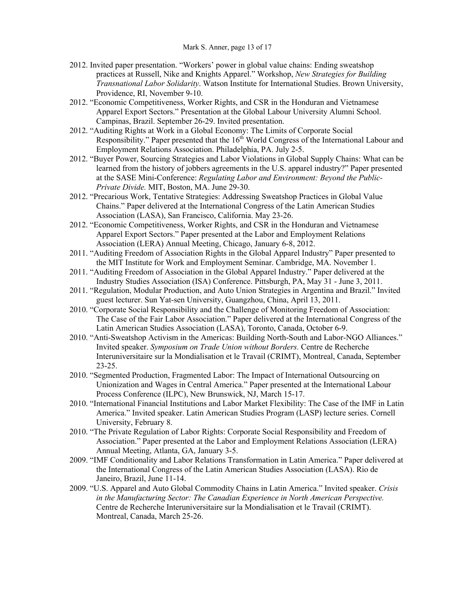#### Mark S. Anner, page 13 of 17

- 2012. Invited paper presentation. "Workers' power in global value chains: Ending sweatshop practices at Russell, Nike and Knights Apparel." Workshop, *New Strategies for Building Transnational Labor Solidarity*. Watson Institute for International Studies. Brown University, Providence, RI, November 9-10.
- 2012. "Economic Competitiveness, Worker Rights, and CSR in the Honduran and Vietnamese Apparel Export Sectors." Presentation at the Global Labour University Alumni School. Campinas, Brazil. September 26-29. Invited presentation.
- 2012. "Auditing Rights at Work in a Global Economy: The Limits of Corporate Social Responsibility." Paper presented that the  $16<sup>th</sup>$  World Congress of the International Labour and Employment Relations Association. Philadelphia, PA. July 2-5.
- 2012. "Buyer Power, Sourcing Strategies and Labor Violations in Global Supply Chains: What can be learned from the history of jobbers agreements in the U.S. apparel industry?" Paper presented at the SASE Mini-Conference: *Regulating Labor and Environment: Beyond the Public-Private Divide.* MIT, Boston, MA. June 29-30.
- 2012. "Precarious Work, Tentative Strategies: Addressing Sweatshop Practices in Global Value Chains." Paper delivered at the International Congress of the Latin American Studies Association (LASA), San Francisco, California. May 23-26.
- 2012. "Economic Competitiveness, Worker Rights, and CSR in the Honduran and Vietnamese Apparel Export Sectors." Paper presented at the Labor and Employment Relations Association (LERA) Annual Meeting, Chicago, January 6-8, 2012.
- 2011. "Auditing Freedom of Association Rights in the Global Apparel Industry" Paper presented to the MIT Institute for Work and Employment Seminar. Cambridge, MA. November 1.
- 2011. "Auditing Freedom of Association in the Global Apparel Industry." Paper delivered at the Industry Studies Association (ISA) Conference. Pittsburgh, PA, May 31 - June 3, 2011.
- 2011. "Regulation, Modular Production, and Auto Union Strategies in Argentina and Brazil." Invited guest lecturer. Sun Yat-sen University, Guangzhou, China, April 13, 2011.
- 2010. "Corporate Social Responsibility and the Challenge of Monitoring Freedom of Association: The Case of the Fair Labor Association." Paper delivered at the International Congress of the Latin American Studies Association (LASA), Toronto, Canada, October 6-9.
- 2010. "Anti-Sweatshop Activism in the Americas: Building North-South and Labor-NGO Alliances." Invited speaker. *Symposium on Trade Union without Borders.* Centre de Recherche Interuniversitaire sur la Mondialisation et le Travail (CRIMT), Montreal, Canada, September 23-25.
- 2010. "Segmented Production, Fragmented Labor: The Impact of International Outsourcing on Unionization and Wages in Central America." Paper presented at the International Labour Process Conference (ILPC), New Brunswick, NJ, March 15-17.
- 2010. "International Financial Institutions and Labor Market Flexibility: The Case of the IMF in Latin America." Invited speaker. Latin American Studies Program (LASP) lecture series. Cornell University, February 8.
- 2010. "The Private Regulation of Labor Rights: Corporate Social Responsibility and Freedom of Association." Paper presented at the Labor and Employment Relations Association (LERA) Annual Meeting, Atlanta, GA, January 3-5.
- 2009. "IMF Conditionality and Labor Relations Transformation in Latin America." Paper delivered at the International Congress of the Latin American Studies Association (LASA). Rio de Janeiro, Brazil, June 11-14.
- 2009. "U.S. Apparel and Auto Global Commodity Chains in Latin America." Invited speaker. *Crisis in the Manufacturing Sector: The Canadian Experience in North American Perspective.* Centre de Recherche Interuniversitaire sur la Mondialisation et le Travail (CRIMT). Montreal, Canada, March 25-26.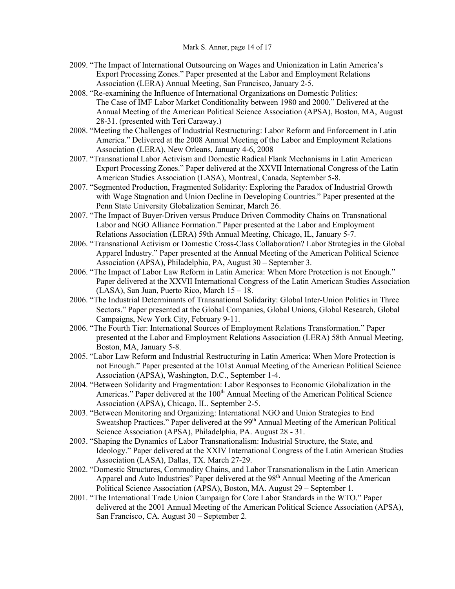- 2009. "The Impact of International Outsourcing on Wages and Unionization in Latin America's Export Processing Zones." Paper presented at the Labor and Employment Relations Association (LERA) Annual Meeting, San Francisco, January 2-5.
- 2008. "Re-examining the Influence of International Organizations on Domestic Politics: The Case of IMF Labor Market Conditionality between 1980 and 2000." Delivered at the Annual Meeting of the American Political Science Association (APSA), Boston, MA, August 28-31. (presented with Teri Caraway.)
- 2008. "Meeting the Challenges of Industrial Restructuring: Labor Reform and Enforcement in Latin America." Delivered at the 2008 Annual Meeting of the Labor and Employment Relations Association (LERA), New Orleans, January 4-6, 2008
- 2007. "Transnational Labor Activism and Domestic Radical Flank Mechanisms in Latin American Export Processing Zones." Paper delivered at the XXVII International Congress of the Latin American Studies Association (LASA), Montreal, Canada, September 5-8.
- 2007. "Segmented Production, Fragmented Solidarity: Exploring the Paradox of Industrial Growth with Wage Stagnation and Union Decline in Developing Countries." Paper presented at the Penn State University Globalization Seminar, March 26.
- 2007. "The Impact of Buyer-Driven versus Produce Driven Commodity Chains on Transnational Labor and NGO Alliance Formation." Paper presented at the Labor and Employment Relations Association (LERA) 59th Annual Meeting, Chicago, IL, January 5-7.
- 2006. "Transnational Activism or Domestic Cross-Class Collaboration? Labor Strategies in the Global Apparel Industry." Paper presented at the Annual Meeting of the American Political Science Association (APSA), Philadelphia, PA, August 30 – September 3.
- 2006. "The Impact of Labor Law Reform in Latin America: When More Protection is not Enough." Paper delivered at the XXVII International Congress of the Latin American Studies Association (LASA), San Juan, Puerto Rico, March 15 – 18.
- 2006. "The Industrial Determinants of Transnational Solidarity: Global Inter-Union Politics in Three Sectors." Paper presented at the Global Companies, Global Unions, Global Research, Global Campaigns, New York City, February 9-11.
- 2006. "The Fourth Tier: International Sources of Employment Relations Transformation." Paper presented at the Labor and Employment Relations Association (LERA) 58th Annual Meeting, Boston, MA, January 5-8.
- 2005. "Labor Law Reform and Industrial Restructuring in Latin America: When More Protection is not Enough." Paper presented at the 101st Annual Meeting of the American Political Science Association (APSA), Washington, D.C., September 1-4.
- 2004. "Between Solidarity and Fragmentation: Labor Responses to Economic Globalization in the Americas." Paper delivered at the 100<sup>th</sup> Annual Meeting of the American Political Science Association (APSA), Chicago, IL. September 2-5.
- 2003. "Between Monitoring and Organizing: International NGO and Union Strategies to End Sweatshop Practices." Paper delivered at the 99<sup>th</sup> Annual Meeting of the American Political Science Association (APSA), Philadelphia, PA. August 28 - 31.
- 2003. "Shaping the Dynamics of Labor Transnationalism: Industrial Structure, the State, and Ideology." Paper delivered at the XXIV International Congress of the Latin American Studies Association (LASA), Dallas, TX. March 27-29.
- 2002. "Domestic Structures, Commodity Chains, and Labor Transnationalism in the Latin American Apparel and Auto Industries" Paper delivered at the 98<sup>th</sup> Annual Meeting of the American Political Science Association (APSA), Boston, MA. August 29 – September 1.
- 2001. "The International Trade Union Campaign for Core Labor Standards in the WTO." Paper delivered at the 2001 Annual Meeting of the American Political Science Association (APSA), San Francisco, CA. August 30 – September 2.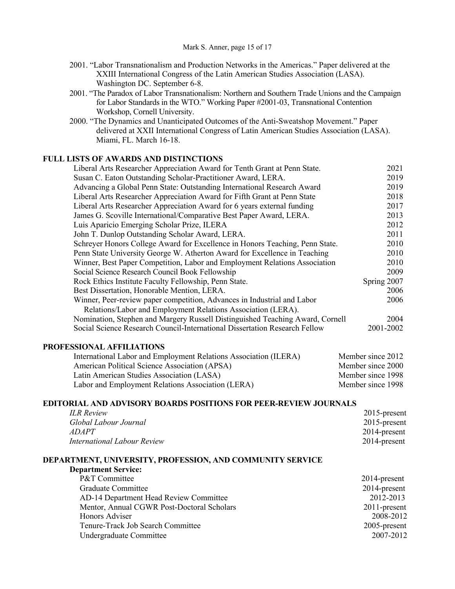- 2001. "Labor Transnationalism and Production Networks in the Americas." Paper delivered at the XXIII International Congress of the Latin American Studies Association (LASA). Washington DC. September 6-8.
- 2001. "The Paradox of Labor Transnationalism: Northern and Southern Trade Unions and the Campaign for Labor Standards in the WTO." Working Paper #2001-03, Transnational Contention Workshop, Cornell University.
- 2000. "The Dynamics and Unanticipated Outcomes of the Anti-Sweatshop Movement." Paper delivered at XXII International Congress of Latin American Studies Association (LASA). Miami, FL. March 16-18.

### **FULL LISTS OF AWARDS AND DISTINCTIONS**

| Liberal Arts Researcher Appreciation Award for Tenth Grant at Penn State.     | 2021        |
|-------------------------------------------------------------------------------|-------------|
| Susan C. Eaton Outstanding Scholar-Practitioner Award, LERA.                  | 2019        |
| Advancing a Global Penn State: Outstanding International Research Award       | 2019        |
| Liberal Arts Researcher Appreciation Award for Fifth Grant at Penn State      | 2018        |
| Liberal Arts Researcher Appreciation Award for 6 years external funding       | 2017        |
| James G. Scoville International/Comparative Best Paper Award, LERA.           | 2013        |
| Luis Aparicio Emerging Scholar Prize, ILERA                                   | 2012        |
| John T. Dunlop Outstanding Scholar Award, LERA.                               | 2011        |
| Schreyer Honors College Award for Excellence in Honors Teaching, Penn State.  | 2010        |
| Penn State University George W. Atherton Award for Excellence in Teaching     | 2010        |
| Winner, Best Paper Competition, Labor and Employment Relations Association    | 2010        |
| Social Science Research Council Book Fellowship                               | 2009        |
| Rock Ethics Institute Faculty Fellowship, Penn State.                         | Spring 2007 |
| Best Dissertation, Honorable Mention, LERA.                                   | 2006        |
| Winner, Peer-review paper competition, Advances in Industrial and Labor       | 2006        |
| Relations/Labor and Employment Relations Association (LERA).                  |             |
| Nomination, Stephen and Margery Russell Distinguished Teaching Award, Cornell | 2004        |
| Social Science Research Council-International Dissertation Research Fellow    | 2001-2002   |

#### **PROFESSIONAL AFFILIATIONS**

| International Labor and Employment Relations Association (ILERA) | Member since 2012 |
|------------------------------------------------------------------|-------------------|
| American Political Science Association (APSA)                    | Member since 2000 |
| Latin American Studies Association (LASA)                        | Member since 1998 |
| Labor and Employment Relations Association (LERA)                | Member since 1998 |

## **EDITORIAL AND ADVISORY BOARDS POSITIONS FOR PEER-REVIEW JOURNALS**

| <b>ILR Review</b>           | $2015$ -present |
|-----------------------------|-----------------|
| Global Labour Journal       | $2015$ -present |
| <i>ADAPT</i>                | $2014$ -present |
| International Labour Review | $2014$ -present |

#### **DEPARTMENT, UNIVERSITY, PROFESSION, AND COMMUNITY SERVICE**

| P&T Committee                              | $2014$ -present |
|--------------------------------------------|-----------------|
| Graduate Committee                         | $2014$ -present |
| AD-14 Department Head Review Committee     | 2012-2013       |
| Mentor, Annual CGWR Post-Doctoral Scholars | 2011-present    |
| Honors Adviser                             | 2008-2012       |
| Tenure-Track Job Search Committee          | 2005-present    |
| Undergraduate Committee                    | 2007-2012       |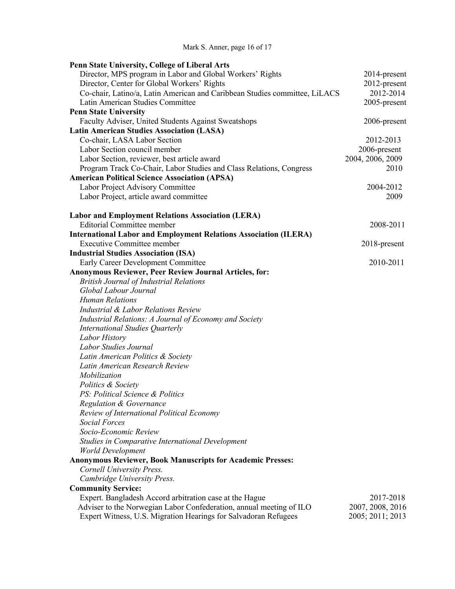Mark S. Anner, page 16 of 17

| Penn State University, College of Liberal Arts                             |                  |
|----------------------------------------------------------------------------|------------------|
| Director, MPS program in Labor and Global Workers' Rights                  | 2014-present     |
| Director, Center for Global Workers' Rights                                | 2012-present     |
| Co-chair, Latino/a, Latin American and Caribbean Studies committee, LiLACS | 2012-2014        |
| Latin American Studies Committee                                           | 2005-present     |
| <b>Penn State University</b>                                               |                  |
| Faculty Adviser, United Students Against Sweatshops                        | 2006-present     |
| <b>Latin American Studies Association (LASA)</b>                           |                  |
| Co-chair, LASA Labor Section                                               | 2012-2013        |
| Labor Section council member                                               | 2006-present     |
| Labor Section, reviewer, best article award                                | 2004, 2006, 2009 |
| Program Track Co-Chair, Labor Studies and Class Relations, Congress        | 2010             |
| <b>American Political Science Association (APSA)</b>                       |                  |
| Labor Project Advisory Committee                                           | 2004-2012        |
| Labor Project, article award committee                                     | 2009             |
| <b>Labor and Employment Relations Association (LERA)</b>                   |                  |
| <b>Editorial Committee member</b>                                          | 2008-2011        |
| <b>International Labor and Employment Relations Association (ILERA)</b>    |                  |
| <b>Executive Committee member</b>                                          | 2018-present     |
| <b>Industrial Studies Association (ISA)</b>                                |                  |
| Early Career Development Committee                                         | 2010-2011        |
| <b>Anonymous Reviewer, Peer Review Journal Articles, for:</b>              |                  |
| <b>British Journal of Industrial Relations</b>                             |                  |
| Global Labour Journal                                                      |                  |
| <b>Human Relations</b>                                                     |                  |
| Industrial & Labor Relations Review                                        |                  |
| Industrial Relations: A Journal of Economy and Society                     |                  |
| <b>International Studies Quarterly</b>                                     |                  |
| Labor History                                                              |                  |
| Labor Studies Journal                                                      |                  |
| Latin American Politics & Society                                          |                  |
| Latin American Research Review                                             |                  |
| Mobilization                                                               |                  |
| Politics & Society                                                         |                  |
| PS: Political Science & Politics                                           |                  |
| Regulation & Governance                                                    |                  |
| Review of International Political Economy                                  |                  |
| <b>Social Forces</b>                                                       |                  |
| Socio-Economic Review                                                      |                  |
| Studies in Comparative International Development                           |                  |
| <b>World Development</b>                                                   |                  |
| <b>Anonymous Reviewer, Book Manuscripts for Academic Presses:</b>          |                  |
| Cornell University Press.                                                  |                  |
| Cambridge University Press.                                                |                  |
|                                                                            |                  |
| <b>Community Service:</b>                                                  |                  |
| Expert. Bangladesh Accord arbitration case at the Hague                    | 2017-2018        |
| Adviser to the Norwegian Labor Confederation, annual meeting of ILO        | 2007, 2008, 2016 |
| Expert Witness, U.S. Migration Hearings for Salvadoran Refugees            | 2005; 2011; 2013 |